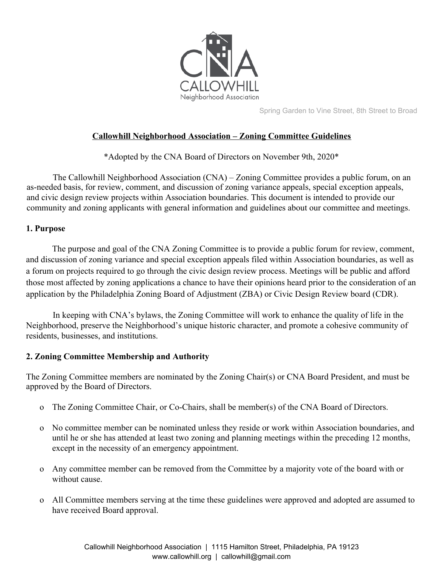

Spring Garden to Vine Street, 8th Street to Broad

# **Callowhill Neighborhood Association – Zoning Committee Guidelines**

\*Adopted by the CNA Board of Directors on November 9th, 2020\*

The Callowhill Neighborhood Association (CNA) – Zoning Committee provides a public forum, on an as-needed basis, for review, comment, and discussion of zoning variance appeals, special exception appeals, and civic design review projects within Association boundaries. This document is intended to provide our community and zoning applicants with general information and guidelines about our committee and meetings.

#### **1. Purpose**

The purpose and goal of the CNA Zoning Committee is to provide a public forum for review, comment, and discussion of zoning variance and special exception appeals filed within Association boundaries, as well as a forum on projects required to go through the civic design review process. Meetings will be public and afford those most affected by zoning applications a chance to have their opinions heard prior to the consideration of an application by the Philadelphia Zoning Board of Adjustment (ZBA) or Civic Design Review board (CDR).

In keeping with CNA's bylaws, the Zoning Committee will work to enhance the quality of life in the Neighborhood, preserve the Neighborhood's unique historic character, and promote a cohesive community of residents, businesses, and institutions.

### **2. Zoning Committee Membership and Authority**

The Zoning Committee members are nominated by the Zoning Chair(s) or CNA Board President, and must be approved by the Board of Directors.

- o The Zoning Committee Chair, or Co-Chairs, shall be member(s) of the CNA Board of Directors.
- o No committee member can be nominated unless they reside or work within Association boundaries, and until he or she has attended at least two zoning and planning meetings within the preceding 12 months, except in the necessity of an emergency appointment.
- o Any committee member can be removed from the Committee by a majority vote of the board with or without cause.
- o All Committee members serving at the time these guidelines were approved and adopted are assumed to have received Board approval.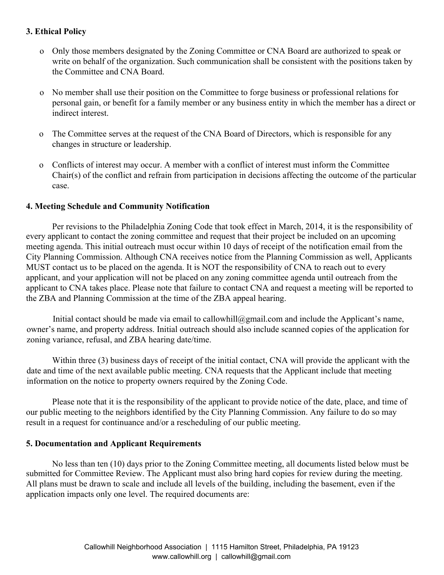### **3. Ethical Policy**

- o Only those members designated by the Zoning Committee or CNA Board are authorized to speak or write on behalf of the organization. Such communication shall be consistent with the positions taken by the Committee and CNA Board.
- o No member shall use their position on the Committee to forge business or professional relations for personal gain, or benefit for a family member or any business entity in which the member has a direct or indirect interest.
- o The Committee serves at the request of the CNA Board of Directors, which is responsible for any changes in structure or leadership.
- o Conflicts of interest may occur. A member with a conflict of interest must inform the Committee Chair(s) of the conflict and refrain from participation in decisions affecting the outcome of the particular case.

### **4. Meeting Schedule and Community Notification**

Per revisions to the Philadelphia Zoning Code that took effect in March, 2014, it is the responsibility of every applicant to contact the zoning committee and request that their project be included on an upcoming meeting agenda. This initial outreach must occur within 10 days of receipt of the notification email from the City Planning Commission. Although CNA receives notice from the Planning Commission as well, Applicants MUST contact us to be placed on the agenda. It is NOT the responsibility of CNA to reach out to every applicant, and your application will not be placed on any zoning committee agenda until outreach from the applicant to CNA takes place. Please note that failure to contact CNA and request a meeting will be reported to the ZBA and Planning Commission at the time of the ZBA appeal hearing.

Initial contact should be made via email to callowhill@gmail.com and include the Applicant's name, owner's name, and property address. Initial outreach should also include scanned copies of the application for zoning variance, refusal, and ZBA hearing date/time.

Within three (3) business days of receipt of the initial contact, CNA will provide the applicant with the date and time of the next available public meeting. CNA requests that the Applicant include that meeting information on the notice to property owners required by the Zoning Code.

Please note that it is the responsibility of the applicant to provide notice of the date, place, and time of our public meeting to the neighbors identified by the City Planning Commission. Any failure to do so may result in a request for continuance and/or a rescheduling of our public meeting.

#### **5. Documentation and Applicant Requirements**

No less than ten (10) days prior to the Zoning Committee meeting, all documents listed below must be submitted for Committee Review. The Applicant must also bring hard copies for review during the meeting. All plans must be drawn to scale and include all levels of the building, including the basement, even if the application impacts only one level. The required documents are: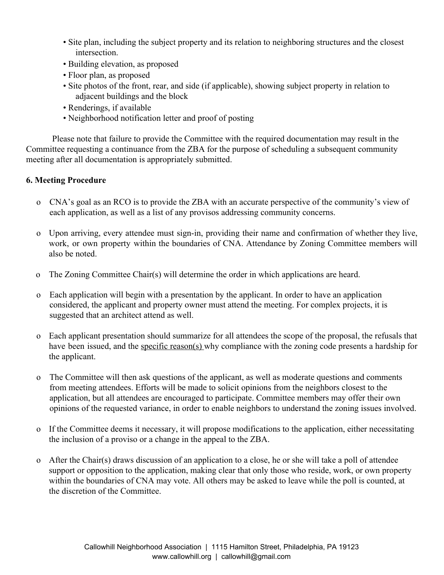- Site plan, including the subject property and its relation to neighboring structures and the closest intersection.
- Building elevation, as proposed
- Floor plan, as proposed
- Site photos of the front, rear, and side (if applicable), showing subject property in relation to adjacent buildings and the block
- Renderings, if available
- Neighborhood notification letter and proof of posting

Please note that failure to provide the Committee with the required documentation may result in the Committee requesting a continuance from the ZBA for the purpose of scheduling a subsequent community meeting after all documentation is appropriately submitted.

### **6. Meeting Procedure**

- o CNA's goal as an RCO is to provide the ZBA with an accurate perspective of the community's view of each application, as well as a list of any provisos addressing community concerns.
- o Upon arriving, every attendee must sign-in, providing their name and confirmation of whether they live, work, or own property within the boundaries of CNA. Attendance by Zoning Committee members will also be noted.
- o The Zoning Committee Chair(s) will determine the order in which applications are heard.
- o Each application will begin with a presentation by the applicant. In order to have an application considered, the applicant and property owner must attend the meeting. For complex projects, it is suggested that an architect attend as well.
- o Each applicant presentation should summarize for all attendees the scope of the proposal, the refusals that have been issued, and the specific reason(s) why compliance with the zoning code presents a hardship for the applicant.
- o The Committee will then ask questions of the applicant, as well as moderate questions and comments from meeting attendees. Efforts will be made to solicit opinions from the neighbors closest to the application, but all attendees are encouraged to participate. Committee members may offer their own opinions of the requested variance, in order to enable neighbors to understand the zoning issues involved.
- o If the Committee deems it necessary, it will propose modifications to the application, either necessitating the inclusion of a proviso or a change in the appeal to the ZBA.
- o After the Chair(s) draws discussion of an application to a close, he or she will take a poll of attendee support or opposition to the application, making clear that only those who reside, work, or own property within the boundaries of CNA may vote. All others may be asked to leave while the poll is counted, at the discretion of the Committee.